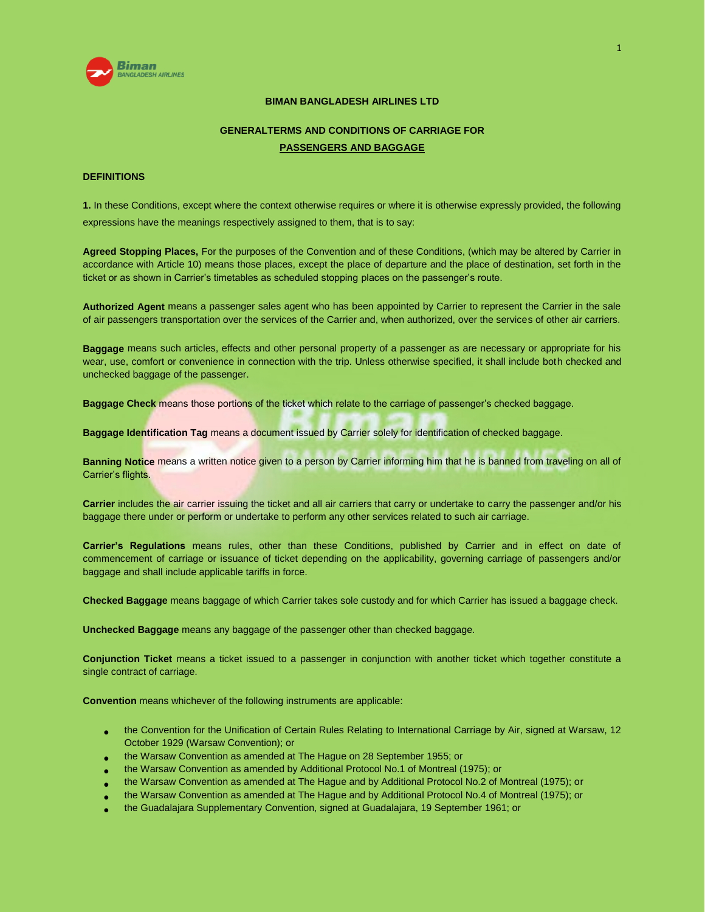

# **BIMAN BANGLADESH AIRLINES LTD**

# **GENERALTERMS AND CONDITIONS OF CARRIAGE FOR PASSENGERS AND BAGGAGE**

# **DEFINITIONS**

**1.** In these Conditions, except where the context otherwise requires or where it is otherwise expressly provided, the following expressions have the meanings respectively assigned to them, that is to say:

**Agreed Stopping Places,** For the purposes of the Convention and of these Conditions, (which may be altered by Carrier in accordance with Article 10) means those places, except the place of departure and the place of destination, set forth in the ticket or as shown in Carrier's timetables as scheduled stopping places on the passenger's route.

**Authorized Agent** means a passenger sales agent who has been appointed by Carrier to represent the Carrier in the sale of air passengers transportation over the services of the Carrier and, when authorized, over the services of other air carriers.

**Baggage** means such articles, effects and other personal property of a passenger as are necessary or appropriate for his wear, use, comfort or convenience in connection with the trip. Unless otherwise specified, it shall include both checked and unchecked baggage of the passenger.

**Baggage Check** means those portions of the ticket which relate to the carriage of passenger's checked baggage.

**Baggage Identification Tag** means a document issued by Carrier solely for identification of checked baggage.

**Banning Notice** means a written notice given to a person by Carrier informing him that he is banned from traveling on all of Carrier's flights.

**Carrier** includes the air carrier issuing the ticket and all air carriers that carry or undertake to carry the passenger and/or his baggage there under or perform or undertake to perform any other services related to such air carriage.

**Carrier's Regulations** means rules, other than these Conditions, published by Carrier and in effect on date of commencement of carriage or issuance of ticket depending on the applicability, governing carriage of passengers and/or baggage and shall include applicable tariffs in force.

**Checked Baggage** means baggage of which Carrier takes sole custody and for which Carrier has issued a baggage check.

**Unchecked Baggage** means any baggage of the passenger other than checked baggage.

**Conjunction Ticket** means a ticket issued to a passenger in conjunction with another ticket which together constitute a single contract of carriage.

**Convention** means whichever of the following instruments are applicable:

- the Convention for the Unification of Certain Rules Relating to International Carriage by Air, signed at Warsaw, 12 October 1929 (Warsaw Convention); or
- the Warsaw Convention as amended at The Hague on 28 September 1955; or
- the Warsaw Convention as amended by Additional Protocol No.1 of Montreal (1975); or
- the Warsaw Convention as amended at The Hague and by Additional Protocol No.2 of Montreal (1975); or
- the Warsaw Convention as amended at The Hague and by Additional Protocol No.4 of Montreal (1975); or
- the Guadalajara Supplementary Convention, signed at Guadalajara, 19 September 1961; or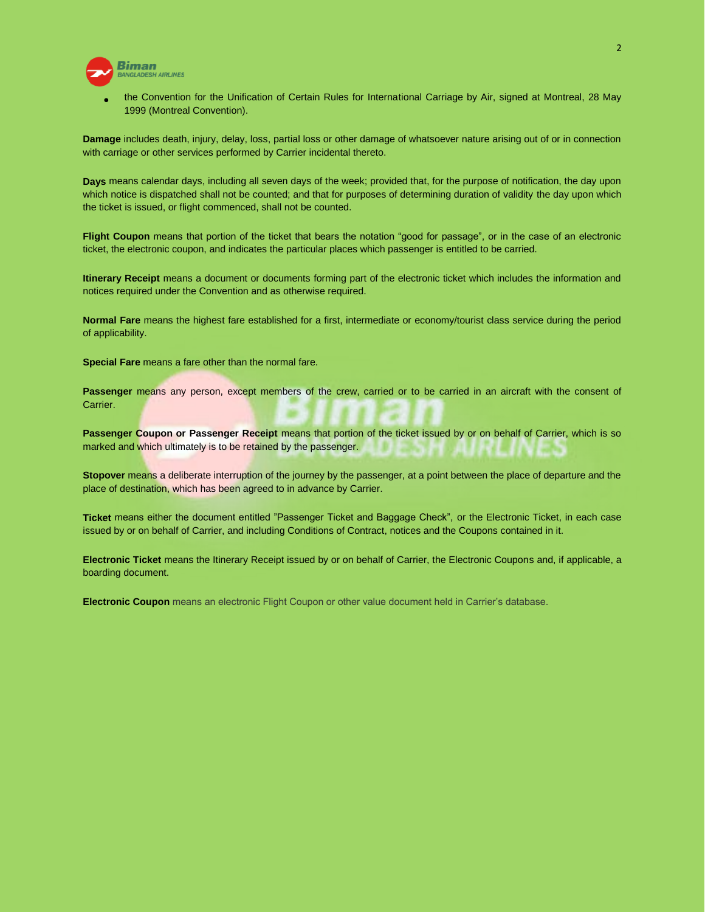

 the Convention for the Unification of Certain Rules for International Carriage by Air, signed at Montreal, 28 May 1999 (Montreal Convention).

**Damage** includes death, injury, delay, loss, partial loss or other damage of whatsoever nature arising out of or in connection with carriage or other services performed by Carrier incidental thereto.

**Days** means calendar days, including all seven days of the week; provided that, for the purpose of notification, the day upon which notice is dispatched shall not be counted; and that for purposes of determining duration of validity the day upon which the ticket is issued, or flight commenced, shall not be counted.

**Flight Coupon** means that portion of the ticket that bears the notation "good for passage", or in the case of an electronic ticket, the electronic coupon, and indicates the particular places which passenger is entitled to be carried.

**Itinerary Receipt** means a document or documents forming part of the electronic ticket which includes the information and notices required under the Convention and as otherwise required.

**Normal Fare** means the highest fare established for a first, intermediate or economy/tourist class service during the period of applicability.

**Special Fare** means a fare other than the normal fare.

Passenger means any person, except members of the crew, carried or to be carried in an aircraft with the consent of Carrier.

**Passenger Coupon or Passenger Receipt** means that portion of the ticket issued by or on behalf of Carrier, which is so marked and which ultimately is to be retained by the passenger.

**Stopover** means a deliberate interruption of the journey by the passenger, at a point between the place of departure and the place of destination, which has been agreed to in advance by Carrier.

**Ticket** means either the document entitled "Passenger Ticket and Baggage Check", or the Electronic Ticket, in each case issued by or on behalf of Carrier, and including Conditions of Contract, notices and the Coupons contained in it.

**Electronic Ticket** means the Itinerary Receipt issued by or on behalf of Carrier, the Electronic Coupons and, if applicable, a boarding document.

**Electronic Coupon** means an electronic Flight Coupon or other value document held in Carrier's database.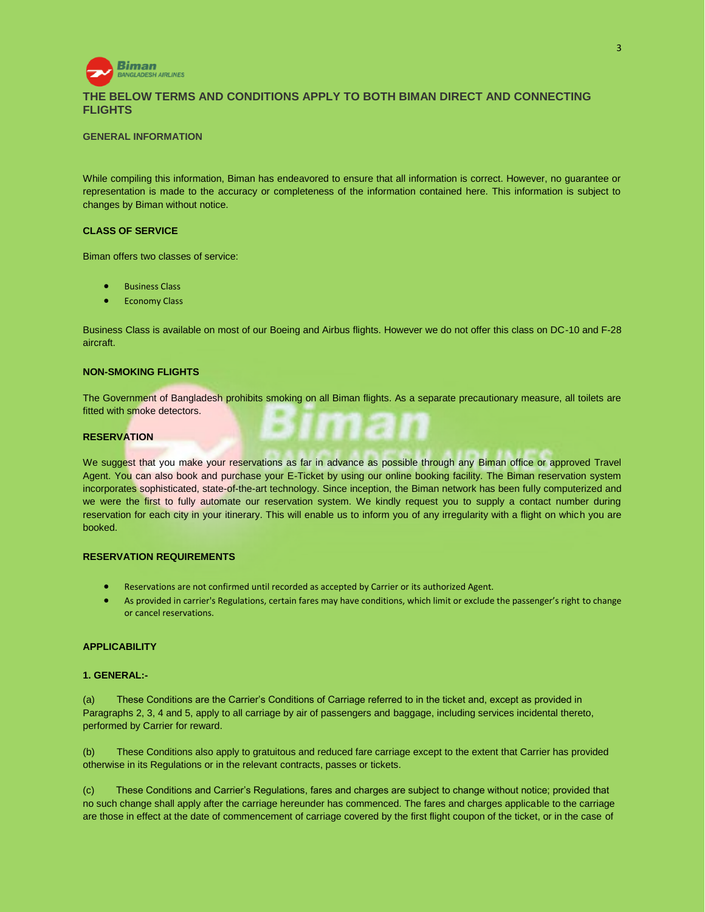

# **THE BELOW TERMS AND CONDITIONS APPLY TO BOTH BIMAN DIRECT AND CONNECTING FLIGHTS**

### **GENERAL INFORMATION**

While compiling this information, Biman has endeavored to ensure that all information is correct. However, no guarantee or representation is made to the accuracy or completeness of the information contained here. This information is subject to changes by Biman without notice.

### **CLASS OF SERVICE**

Biman offers two classes of service:

- Business Class
- Economy Class

Business Class is available on most of our Boeing and Airbus flights. However we do not offer this class on DC-10 and F-28 aircraft.

### **NON-SMOKING FLIGHTS**

The Government of Bangladesh prohibits smoking on all Biman flights. As a separate precautionary measure, all toilets are fitted with smoke detectors.

# **RESERVATION**

We suggest that you make your reservations as far in advance as possible through any Biman office or approved Travel Agent. You can also book and purchase your E-Ticket by using our online booking facility. The Biman reservation system incorporates sophisticated, state-of-the-art technology. Since inception, the Biman network has been fully computerized and we were the first to fully automate our reservation system. We kindly request you to supply a contact number during reservation for each city in your itinerary. This will enable us to inform you of any irregularity with a flight on which you are booked.

# **RESERVATION REQUIREMENTS**

- Reservations are not confirmed until recorded as accepted by Carrier or its authorized Agent.
- As provided in carrier's Regulations, certain fares may have conditions, which limit or exclude the passenger's right to change or cancel reservations.

### **APPLICABILITY**

#### **1. GENERAL:-**

(a) These Conditions are the Carrier's Conditions of Carriage referred to in the ticket and, except as provided in Paragraphs 2, 3, 4 and 5, apply to all carriage by air of passengers and baggage, including services incidental thereto, performed by Carrier for reward.

(b) These Conditions also apply to gratuitous and reduced fare carriage except to the extent that Carrier has provided otherwise in its Regulations or in the relevant contracts, passes or tickets.

(c) These Conditions and Carrier's Regulations, fares and charges are subject to change without notice; provided that no such change shall apply after the carriage hereunder has commenced. The fares and charges applicable to the carriage are those in effect at the date of commencement of carriage covered by the first flight coupon of the ticket, or in the case of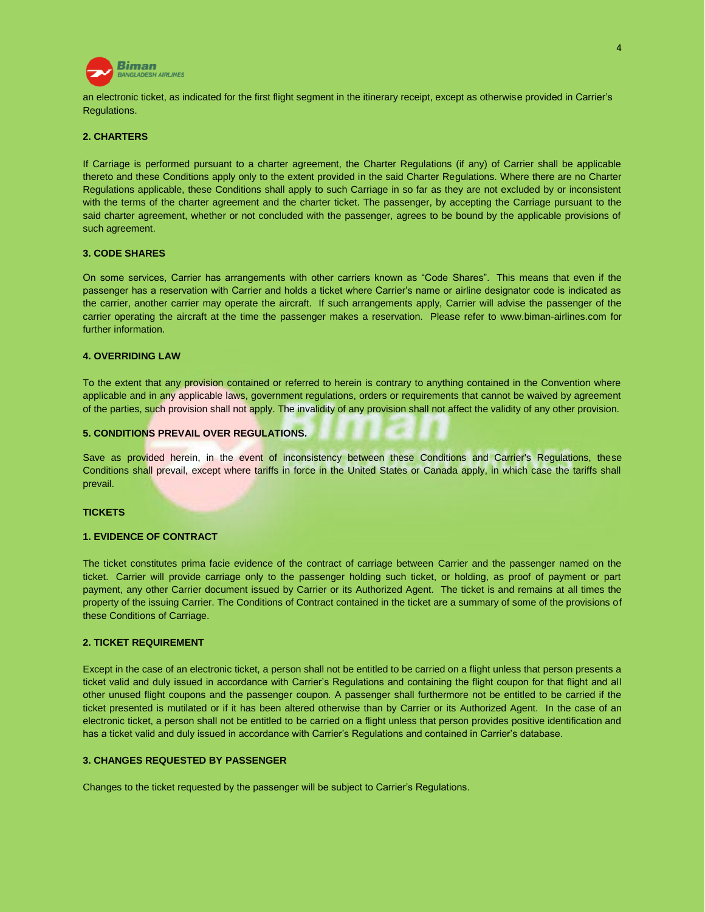

an electronic ticket, as indicated for the first flight segment in the itinerary receipt, except as otherwise provided in Carrier's Regulations.

### **2. CHARTERS**

If Carriage is performed pursuant to a charter agreement, the Charter Regulations (if any) of Carrier shall be applicable thereto and these Conditions apply only to the extent provided in the said Charter Regulations. Where there are no Charter Regulations applicable, these Conditions shall apply to such Carriage in so far as they are not excluded by or inconsistent with the terms of the charter agreement and the charter ticket. The passenger, by accepting the Carriage pursuant to the said charter agreement, whether or not concluded with the passenger, agrees to be bound by the applicable provisions of such agreement.

### **3. CODE SHARES**

On some services, Carrier has arrangements with other carriers known as "Code Shares". This means that even if the passenger has a reservation with Carrier and holds a ticket where Carrier's name or airline designator code is indicated as the carrier, another carrier may operate the aircraft. If such arrangements apply, Carrier will advise the passenger of the carrier operating the aircraft at the time the passenger makes a reservation. Please refer to [www.biman-airlines.com](http://www.biman-airlines.com/) for further information.

### **4. OVERRIDING LAW**

To the extent that any provision contained or referred to herein is contrary to anything contained in the Convention where applicable and in any applicable laws, government regulations, orders or requirements that cannot be waived by agreement of the parties, such provision shall not apply. The invalidity of any provision shall not affect the validity of any other provision.

### **5. CONDITIONS PREVAIL OVER REGULATIONS.**

Save as provided herein, in the event of inconsistency between these Conditions and Carrier's Regulations, these Conditions shall prevail, except where tariffs in force in the United States or Canada apply, in which case the tariffs shall prevail.

#### **TICKETS**

### **1. EVIDENCE OF CONTRACT**

The ticket constitutes prima facie evidence of the contract of carriage between Carrier and the passenger named on the ticket. Carrier will provide carriage only to the passenger holding such ticket, or holding, as proof of payment or part payment, any other Carrier document issued by Carrier or its Authorized Agent. The ticket is and remains at all times the property of the issuing Carrier. The Conditions of Contract contained in the ticket are a summary of some of the provisions of these Conditions of Carriage.

### **2. TICKET REQUIREMENT**

Except in the case of an electronic ticket, a person shall not be entitled to be carried on a flight unless that person presents a ticket valid and duly issued in accordance with Carrier's Regulations and containing the flight coupon for that flight and all other unused flight coupons and the passenger coupon. A passenger shall furthermore not be entitled to be carried if the ticket presented is mutilated or if it has been altered otherwise than by Carrier or its Authorized Agent. In the case of an electronic ticket, a person shall not be entitled to be carried on a flight unless that person provides positive identification and has a ticket valid and duly issued in accordance with Carrier's Regulations and contained in Carrier's database.

### **3. CHANGES REQUESTED BY PASSENGER**

Changes to the ticket requested by the passenger will be subject to Carrier's Regulations.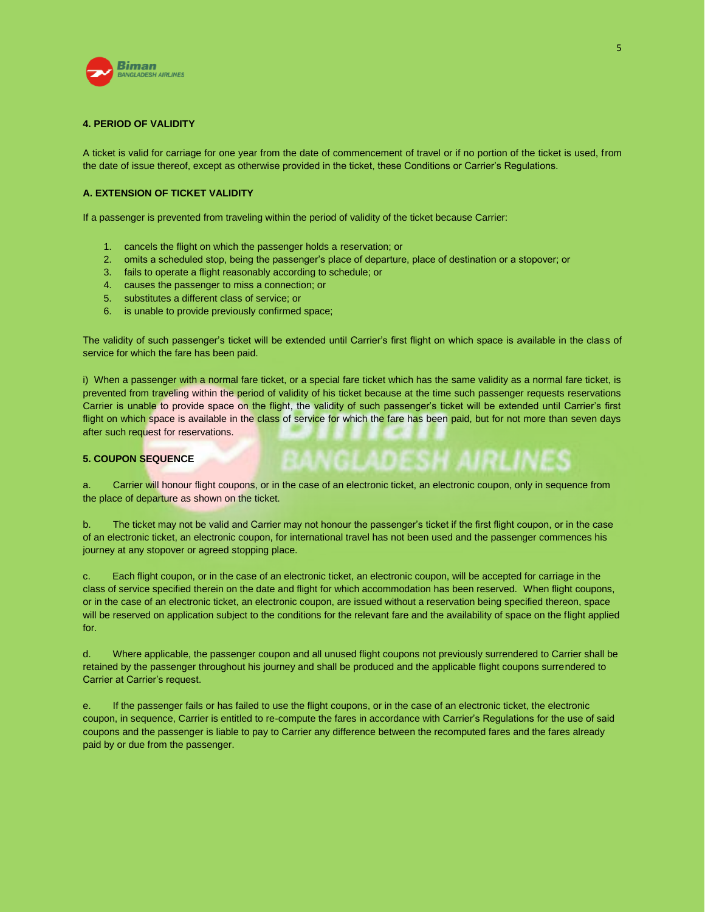

### **4. PERIOD OF VALIDITY**

A ticket is valid for carriage for one year from the date of commencement of travel or if no portion of the ticket is used, from the date of issue thereof, except as otherwise provided in the ticket, these Conditions or Carrier's Regulations.

# **A. EXTENSION OF TICKET VALIDITY**

If a passenger is prevented from traveling within the period of validity of the ticket because Carrier:

- 1. cancels the flight on which the passenger holds a reservation; or
- 2. omits a scheduled stop, being the passenger's place of departure, place of destination or a stopover; or
- 3. fails to operate a flight reasonably according to schedule; or
- 4. causes the passenger to miss a connection; or
- 5. substitutes a different class of service; or
- 6. is unable to provide previously confirmed space;

The validity of such passenger's ticket will be extended until Carrier's first flight on which space is available in the class of service for which the fare has been paid.

i) When a passenger with a normal fare ticket, or a special fare ticket which has the same validity as a normal fare ticket, is prevented from traveling within the period of validity of his ticket because at the time such passenger requests reservations Carrier is unable to provide space on the flight, the validity of such passenger's ticket will be extended until Carrier's first flight on which space is available in the class of service for which the fare has been paid, but for not more than seven days after such request for reservations.

**BANGLADESH AIRLINES** 

### **5. COUPON SEQUENCE**

a. Carrier will honour flight coupons, or in the case of an electronic ticket, an electronic coupon, only in sequence from the place of departure as shown on the ticket.

b. The ticket may not be valid and Carrier may not honour the passenger's ticket if the first flight coupon, or in the case of an electronic ticket, an electronic coupon, for international travel has not been used and the passenger commences his journey at any stopover or agreed stopping place.

c. Each flight coupon, or in the case of an electronic ticket, an electronic coupon, will be accepted for carriage in the class of service specified therein on the date and flight for which accommodation has been reserved. When flight coupons, or in the case of an electronic ticket, an electronic coupon, are issued without a reservation being specified thereon, space will be reserved on application subject to the conditions for the relevant fare and the availability of space on the flight applied for.

d. Where applicable, the passenger coupon and all unused flight coupons not previously surrendered to Carrier shall be retained by the passenger throughout his journey and shall be produced and the applicable flight coupons surrendered to Carrier at Carrier's request.

e. If the passenger fails or has failed to use the flight coupons, or in the case of an electronic ticket, the electronic coupon, in sequence, Carrier is entitled to re-compute the fares in accordance with Carrier's Regulations for the use of said coupons and the passenger is liable to pay to Carrier any difference between the recomputed fares and the fares already paid by or due from the passenger.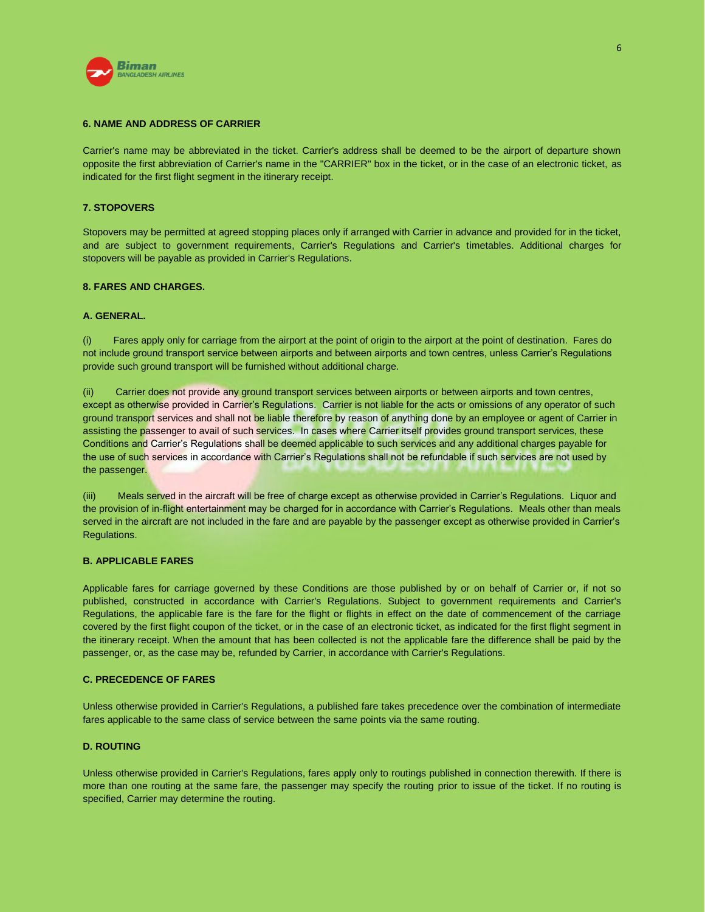

### **6. NAME AND ADDRESS OF CARRIER**

Carrier's name may be abbreviated in the ticket. Carrier's address shall be deemed to be the airport of departure shown opposite the first abbreviation of Carrier's name in the "CARRIER" box in the ticket, or in the case of an electronic ticket, as indicated for the first flight segment in the itinerary receipt.

# **7. STOPOVERS**

Stopovers may be permitted at agreed stopping places only if arranged with Carrier in advance and provided for in the ticket, and are subject to government requirements, Carrier's Regulations and Carrier's timetables. Additional charges for stopovers will be payable as provided in Carrier's Regulations.

### **8. FARES AND CHARGES.**

### **A. GENERAL.**

(i) Fares apply only for carriage from the airport at the point of origin to the airport at the point of destination. Fares do not include ground transport service between airports and between airports and town centres, unless Carrier's Regulations provide such ground transport will be furnished without additional charge.

(ii) Carrier does not provide any ground transport services between airports or between airports and town centres, except as otherwise provided in Carrier's Regulations. Carrier is not liable for the acts or omissions of any operator of such ground transport services and shall not be liable therefore by reason of anything done by an employee or agent of Carrier in assisting the passenger to avail of such services. In cases where Carrier itself provides ground transport services, these Conditions and Carrier's Regulations shall be deemed applicable to such services and any additional charges payable for the use of such services in accordance with Carrier's Regulations shall not be refundable if such services are not used by the passenger.

(iii) Meals served in the aircraft will be free of charge except as otherwise provided in Carrier's Regulations. Liquor and the provision of in-flight entertainment may be charged for in accordance with Carrier's Regulations. Meals other than meals served in the aircraft are not included in the fare and are payable by the passenger except as otherwise provided in Carrier's Regulations.

### **B. APPLICABLE FARES**

Applicable fares for carriage governed by these Conditions are those published by or on behalf of Carrier or, if not so published, constructed in accordance with Carrier's Regulations. Subject to government requirements and Carrier's Regulations, the applicable fare is the fare for the flight or flights in effect on the date of commencement of the carriage covered by the first flight coupon of the ticket, or in the case of an electronic ticket, as indicated for the first flight segment in the itinerary receipt. When the amount that has been collected is not the applicable fare the difference shall be paid by the passenger, or, as the case may be, refunded by Carrier, in accordance with Carrier's Regulations.

### **C. PRECEDENCE OF FARES**

Unless otherwise provided in Carrier's Regulations, a published fare takes precedence over the combination of intermediate fares applicable to the same class of service between the same points via the same routing.

### **D. ROUTING**

Unless otherwise provided in Carrier's Regulations, fares apply only to routings published in connection therewith. If there is more than one routing at the same fare, the passenger may specify the routing prior to issue of the ticket. If no routing is specified, Carrier may determine the routing.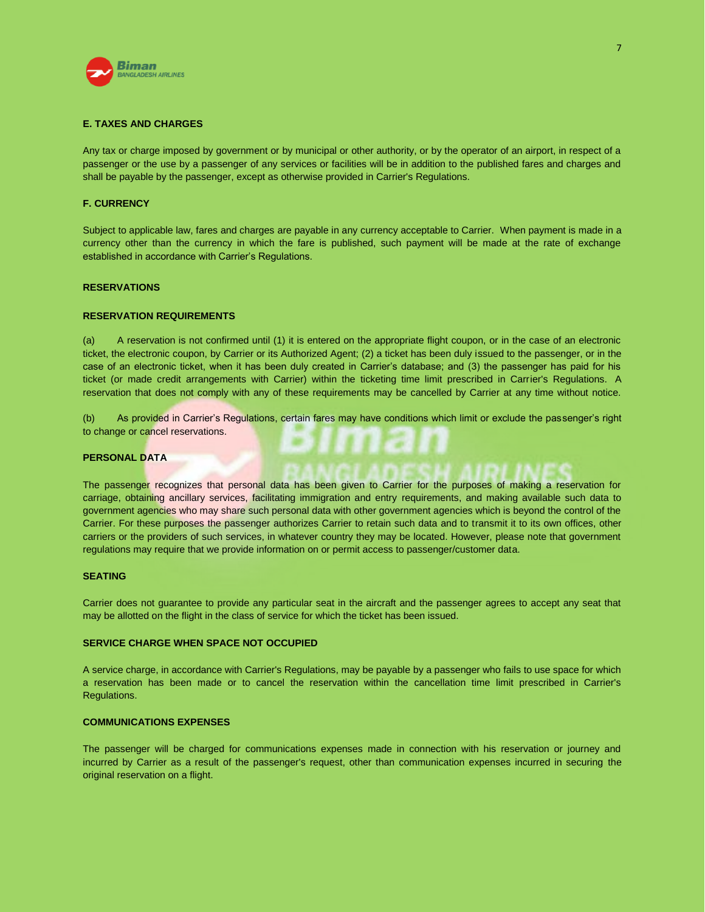

### **E. TAXES AND CHARGES**

Any tax or charge imposed by government or by municipal or other authority, or by the operator of an airport, in respect of a passenger or the use by a passenger of any services or facilities will be in addition to the published fares and charges and shall be payable by the passenger, except as otherwise provided in Carrier's Regulations.

### **F. CURRENCY**

Subject to applicable law, fares and charges are payable in any currency acceptable to Carrier. When payment is made in a currency other than the currency in which the fare is published, such payment will be made at the rate of exchange established in accordance with Carrier's Regulations.

# **RESERVATIONS**

### **RESERVATION REQUIREMENTS**

(a) A reservation is not confirmed until (1) it is entered on the appropriate flight coupon, or in the case of an electronic ticket, the electronic coupon, by Carrier or its Authorized Agent; (2) a ticket has been duly issued to the passenger, or in the case of an electronic ticket, when it has been duly created in Carrier's database; and (3) the passenger has paid for his ticket (or made credit arrangements with Carrier) within the ticketing time limit prescribed in Carrier's Regulations. A reservation that does not comply with any of these requirements may be cancelled by Carrier at any time without notice.

(b) As provided in Carrier's Regulations, certain fares may have conditions which limit or exclude the passenger's right to change or cancel reservations.

### **PERSONAL DATA**

The passenger recognizes that personal data has been given to Carrier for the purposes of making a reservation for carriage, obtaining ancillary services, facilitating immigration and entry requirements, and making available such data to government agencies who may share such personal data with other government agencies which is beyond the control of the Carrier. For these purposes the passenger authorizes Carrier to retain such data and to transmit it to its own offices, other carriers or the providers of such services, in whatever country they may be located. However, please note that government regulations may require that we provide information on or permit access to passenger/customer data.

# **SEATING**

Carrier does not guarantee to provide any particular seat in the aircraft and the passenger agrees to accept any seat that may be allotted on the flight in the class of service for which the ticket has been issued.

#### **SERVICE CHARGE WHEN SPACE NOT OCCUPIED**

A service charge, in accordance with Carrier's Regulations, may be payable by a passenger who fails to use space for which a reservation has been made or to cancel the reservation within the cancellation time limit prescribed in Carrier's Regulations.

### **COMMUNICATIONS EXPENSES**

The passenger will be charged for communications expenses made in connection with his reservation or journey and incurred by Carrier as a result of the passenger's request, other than communication expenses incurred in securing the original reservation on a flight.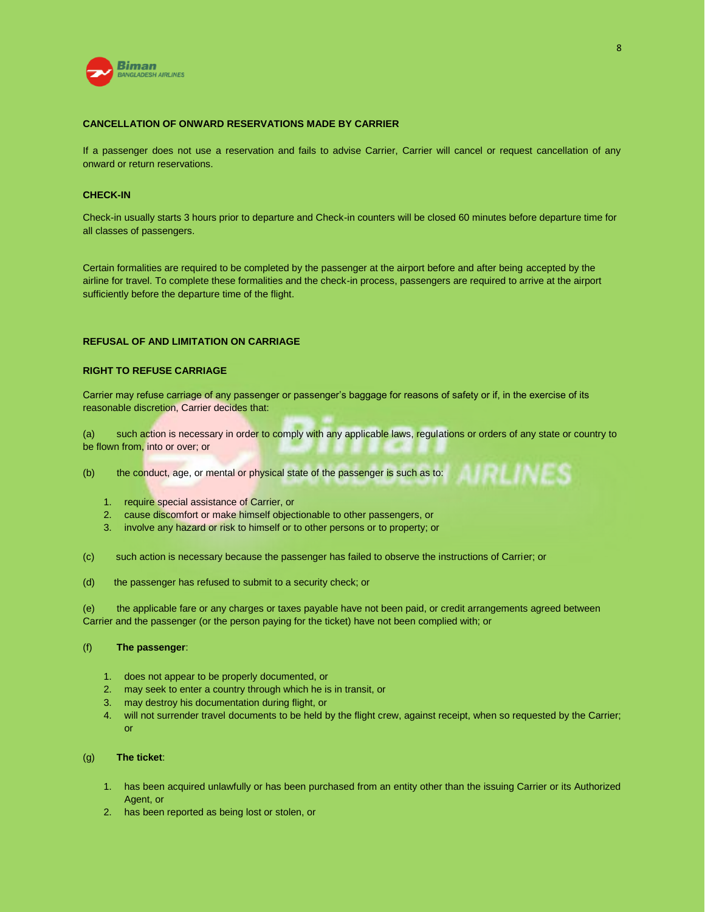

# **CANCELLATION OF ONWARD RESERVATIONS MADE BY CARRIER**

If a passenger does not use a reservation and fails to advise Carrier, Carrier will cancel or request cancellation of any onward or return reservations.

### **CHECK-IN**

Check-in usually starts 3 hours prior to departure and Check-in counters will be closed 60 minutes before departure time for all classes of passengers.

Certain formalities are required to be completed by the passenger at the airport before and after being accepted by the airline for travel. To complete these formalities and the check-in process, passengers are required to arrive at the airport sufficiently before the departure time of the flight.

# **REFUSAL OF AND LIMITATION ON CARRIAGE**

### **RIGHT TO REFUSE CARRIAGE**

Carrier may refuse carriage of any passenger or passenger's baggage for reasons of safety or if, in the exercise of its reasonable discretion, Carrier decides that:

(a) such action is necessary in order to comply with any applicable laws, regulations or orders of any state or country to be flown from, into or over; or

AIRLINES

(b) the conduct, age, or mental or physical state of the passenger is such as to:

- 1. require special assistance of Carrier, or
- 2. cause discomfort or make himself objectionable to other passengers, or
- 3. involve any hazard or risk to himself or to other persons or to property; or

(c) such action is necessary because the passenger has failed to observe the instructions of Carrier; or

(d) the passenger has refused to submit to a security check; or

(e) the applicable fare or any charges or taxes payable have not been paid, or credit arrangements agreed between Carrier and the passenger (or the person paying for the ticket) have not been complied with; or

### (f) **The passenger**:

- 1. does not appear to be properly documented, or
- 2. may seek to enter a country through which he is in transit, or
- 3. may destroy his documentation during flight, or
- 4. will not surrender travel documents to be held by the flight crew, against receipt, when so requested by the Carrier; or

# (g) **The ticket**:

- 1. has been acquired unlawfully or has been purchased from an entity other than the issuing Carrier or its Authorized Agent, or
- 2. has been reported as being lost or stolen, or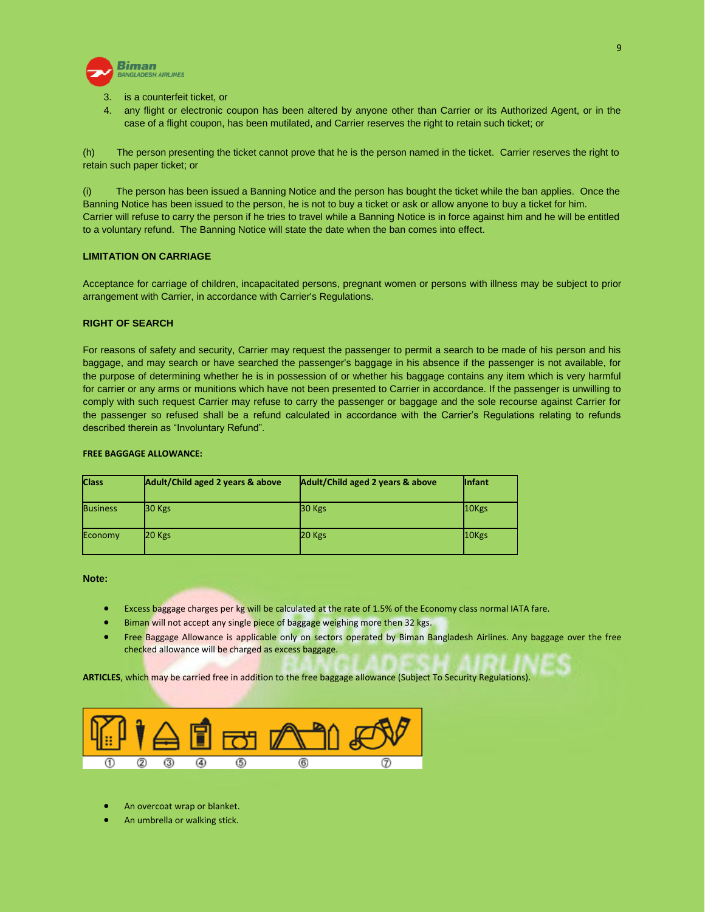

- is a counterfeit ticket, or
- 4. any flight or electronic coupon has been altered by anyone other than Carrier or its Authorized Agent, or in the case of a flight coupon, has been mutilated, and Carrier reserves the right to retain such ticket; or

(h) The person presenting the ticket cannot prove that he is the person named in the ticket. Carrier reserves the right to retain such paper ticket; or

(i) The person has been issued a Banning Notice and the person has bought the ticket while the ban applies. Once the Banning Notice has been issued to the person, he is not to buy a ticket or ask or allow anyone to buy a ticket for him. Carrier will refuse to carry the person if he tries to travel while a Banning Notice is in force against him and he will be entitled to a voluntary refund. The Banning Notice will state the date when the ban comes into effect.

# **LIMITATION ON CARRIAGE**

Acceptance for carriage of children, incapacitated persons, pregnant women or persons with illness may be subject to prior arrangement with Carrier, in accordance with Carrier's Regulations.

# **RIGHT OF SEARCH**

For reasons of safety and security, Carrier may request the passenger to permit a search to be made of his person and his baggage, and may search or have searched the passenger's baggage in his absence if the passenger is not available, for the purpose of determining whether he is in possession of or whether his baggage contains any item which is very harmful for carrier or any arms or munitions which have not been presented to Carrier in accordance. If the passenger is unwilling to comply with such request Carrier may refuse to carry the passenger or baggage and the sole recourse against Carrier for the passenger so refused shall be a refund calculated in accordance with the Carrier's Regulations relating to refunds described therein as "Involuntary Refund".

### **FREE BAGGAGE ALLOWANCE:**

| <b>Class</b>    | Adult/Child aged 2 years & above | Adult/Child aged 2 years & above | <b>Infant</b> |
|-----------------|----------------------------------|----------------------------------|---------------|
| <b>Business</b> | 30 Kgs                           | 30 Kgs                           | 10Kgs         |
| Economy         | 20 Kgs                           | $20$ Kgs                         | 10Kgs         |

### **Note:**

- **Excess baggage charges per kg will be calculated at the rate of 1.5% of the Economy class normal IATA fare.**
- Biman will not accept any single piece of baggage weighing more then 32 kgs.
- Free Baggage Allowance is applicable only on sectors operated by Biman Bangladesh Airlines. Any baggage over the free checked allowance will be charged as excess baggage.

**ARTICLES**, which may be carried free in addition to the free baggage allowance (Subject To Security Regulations).



- An overcoat wrap or blanket.
- An umbrella or walking stick.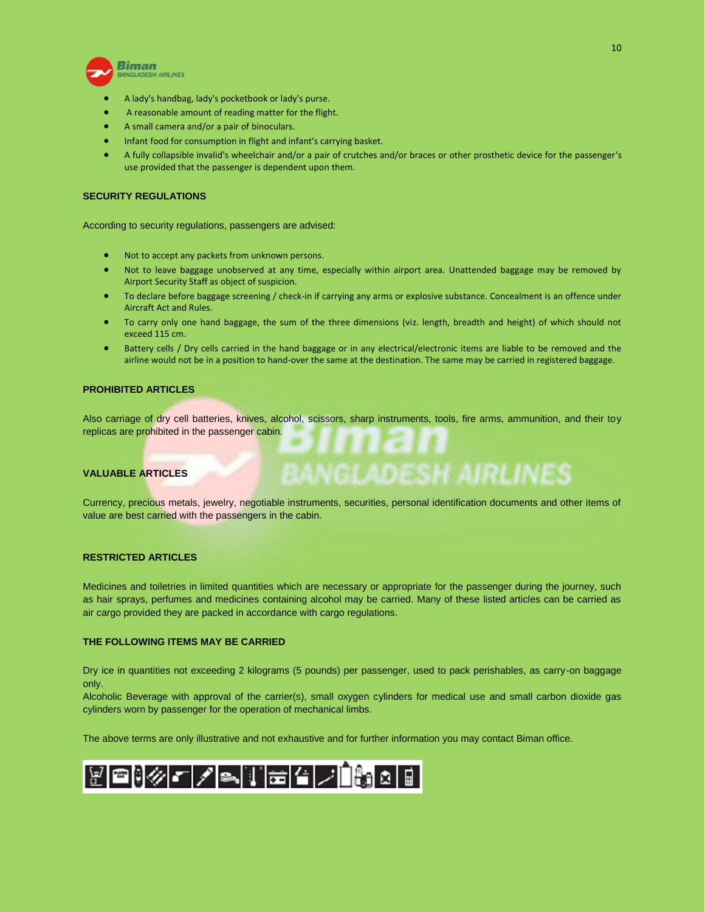

- A lady's handbag, lady's pocketbook or lady's purse.
- A reasonable amount of reading matter for the flight.
- A small camera and/or a pair of binoculars.
- Infant food for consumption in flight and infant's carrying basket.
- A fully collapsible invalid's wheelchair and/or a pair of crutches and/or braces or other prosthetic device for the passenger's use provided that the passenger is dependent upon them.

# **SECURITY REGULATIONS**

According to security regulations, passengers are advised:

- Not to accept any packets from unknown persons.
- Not to leave baggage unobserved at any time, especially within airport area. Unattended baggage may be removed by Airport Security Staff as object of suspicion.
- To declare before baggage screening / check-in if carrying any arms or explosive substance. Concealment is an offence under Aircraft Act and Rules.
- To carry only one hand baggage, the sum of the three dimensions (viz. length, breadth and height) of which should not exceed 115 cm.
- Battery cells / Dry cells carried in the hand baggage or in any electrical/electronic items are liable to be removed and the airline would not be in a position to hand-over the same at the destination. The same may be carried in registered baggage.

### **PROHIBITED ARTICLES**

Also carriage of dry cell batteries, knives, alcohol, scissors, sharp instruments, tools, fire arms, ammunition, and their toy replicas are prohibited in the passenger cabin.

# **VALUABLE ARTICLES**

Currency, precious metals, jewelry, negotiable instruments, securities, personal identification documents and other items of value are best carried with the passengers in the cabin.

**BANGLADESH AIRLINES** 

# **RESTRICTED ARTICLES**

Medicines and toiletries in limited quantities which are necessary or appropriate for the passenger during the journey, such as hair sprays, perfumes and medicines containing alcohol may be carried. Many of these listed articles can be carried as air cargo provided they are packed in accordance with cargo regulations.

#### **THE FOLLOWING ITEMS MAY BE CARRIED**

Dry ice in quantities not exceeding 2 kilograms (5 pounds) per passenger, used to pack perishables, as carry-on baggage only.

Alcoholic Beverage with approval of the carrier(s), small oxygen cylinders for medical use and small carbon dioxide gas cylinders worn by passenger for the operation of mechanical limbs.

The above terms are only illustrative and not exhaustive and for further information you may contact Biman office.

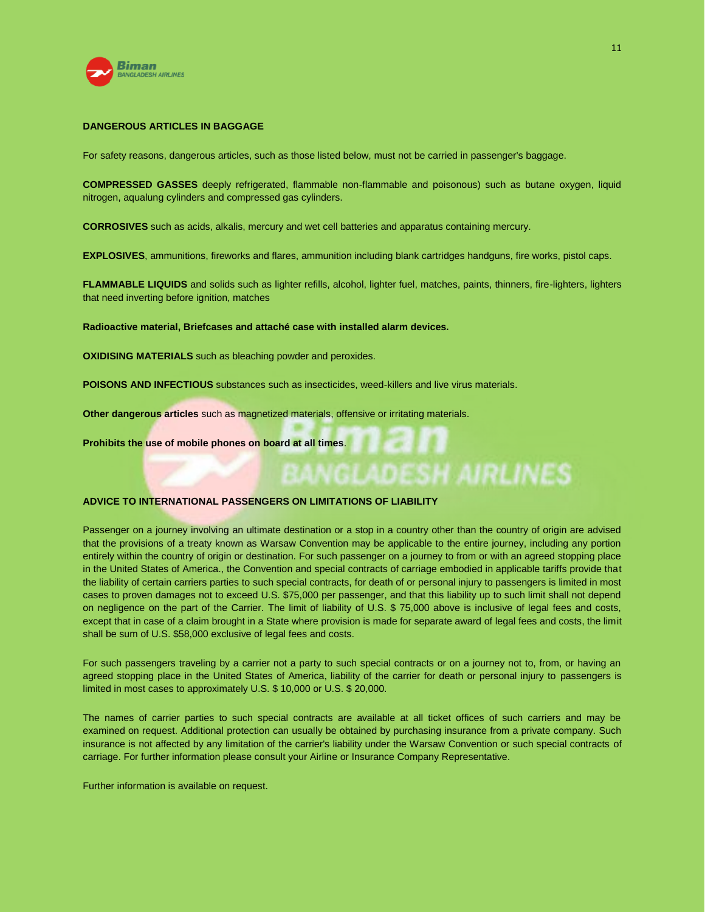

# **DANGEROUS ARTICLES IN BAGGAGE**

For safety reasons, dangerous articles, such as those listed below, must not be carried in passenger's baggage.

**COMPRESSED GASSES** deeply refrigerated, flammable non-flammable and poisonous) such as butane oxygen, liquid nitrogen, aqualung cylinders and compressed gas cylinders.

**CORROSIVES** such as acids, alkalis, mercury and wet cell batteries and apparatus containing mercury.

**EXPLOSIVES**, ammunitions, fireworks and flares, ammunition including blank cartridges handguns, fire works, pistol caps.

**FLAMMABLE LIQUIDS** and solids such as lighter refills, alcohol, lighter fuel, matches, paints, thinners, fire-lighters, lighters that need inverting before ignition, matches

**Radioactive material, Briefcases and attaché case with installed alarm devices.**

**OXIDISING MATERIALS** such as bleaching powder and peroxides.

**POISONS AND INFECTIOUS** substances such as insecticides, weed-killers and live virus materials.

**Other dangerous articles** such as magnetized materials, offensive or irritating materials.

**Prohibits the use of mobile phones on board at all times**.

### **ADVICE TO INTERNATIONAL PASSENGERS ON LIMITATIONS OF LIABILITY**

Passenger on a journey involving an ultimate destination or a stop in a country other than the country of origin are advised that the provisions of a treaty known as Warsaw Convention may be applicable to the entire journey, including any portion entirely within the country of origin or destination. For such passenger on a journey to from or with an agreed stopping place in the United States of America., the Convention and special contracts of carriage embodied in applicable tariffs provide that the liability of certain carriers parties to such special contracts, for death of or personal injury to passengers is limited in most cases to proven damages not to exceed U.S. \$75,000 per passenger, and that this liability up to such limit shall not depend on negligence on the part of the Carrier. The limit of liability of U.S. \$ 75,000 above is inclusive of legal fees and costs, except that in case of a claim brought in a State where provision is made for separate award of legal fees and costs, the limit shall be sum of U.S. \$58,000 exclusive of legal fees and costs.

**ADESH AIRLINES** 

For such passengers traveling by a carrier not a party to such special contracts or on a journey not to, from, or having an agreed stopping place in the United States of America, liability of the carrier for death or personal injury to passengers is limited in most cases to approximately U.S. \$ 10,000 or U.S. \$ 20,000.

The names of carrier parties to such special contracts are available at all ticket offices of such carriers and may be examined on request. Additional protection can usually be obtained by purchasing insurance from a private company. Such insurance is not affected by any limitation of the carrier's liability under the Warsaw Convention or such special contracts of carriage. For further information please consult your Airline or Insurance Company Representative.

Further information is available on request.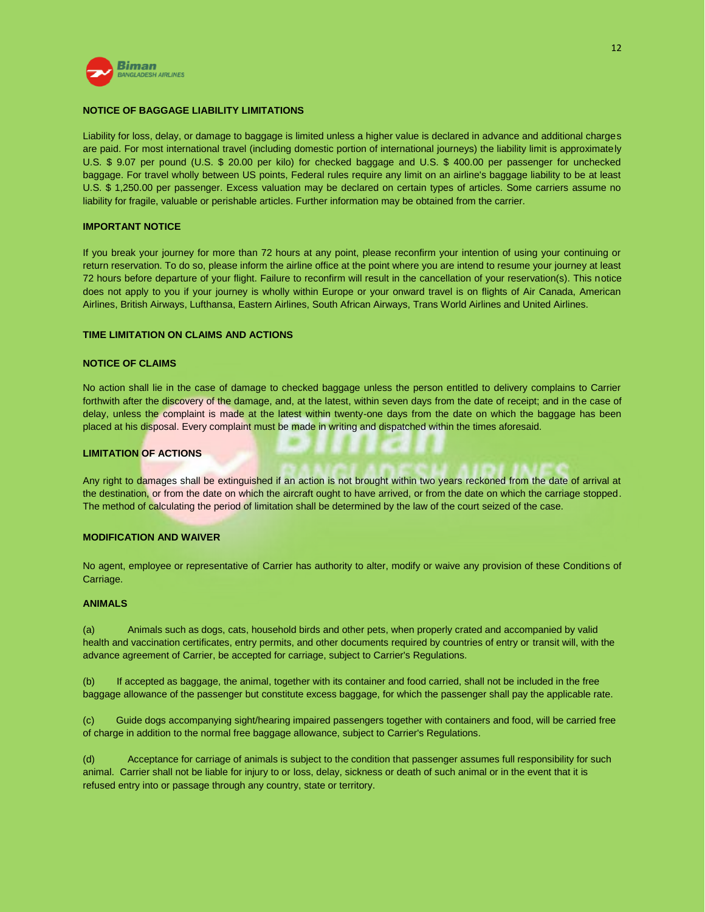

# **NOTICE OF BAGGAGE LIABILITY LIMITATIONS**

Liability for loss, delay, or damage to baggage is limited unless a higher value is declared in advance and additional charges are paid. For most international travel (including domestic portion of international journeys) the liability limit is approximately U.S. \$ 9.07 per pound (U.S. \$ 20.00 per kilo) for checked baggage and U.S. \$ 400.00 per passenger for unchecked baggage. For travel wholly between US points, Federal rules require any limit on an airline's baggage liability to be at least U.S. \$ 1,250.00 per passenger. Excess valuation may be declared on certain types of articles. Some carriers assume no liability for fragile, valuable or perishable articles. Further information may be obtained from the carrier.

### **IMPORTANT NOTICE**

If you break your journey for more than 72 hours at any point, please reconfirm your intention of using your continuing or return reservation. To do so, please inform the airline office at the point where you are intend to resume your journey at least 72 hours before departure of your flight. Failure to reconfirm will result in the cancellation of your reservation(s). This notice does not apply to you if your journey is wholly within Europe or your onward travel is on flights of Air Canada, American Airlines, British Airways, Lufthansa, Eastern Airlines, South African Airways, Trans World Airlines and United Airlines.

### **TIME LIMITATION ON CLAIMS AND ACTIONS**

### **NOTICE OF CLAIMS**

No action shall lie in the case of damage to checked baggage unless the person entitled to delivery complains to Carrier forthwith after the discovery of the damage, and, at the latest, within seven days from the date of receipt; and in the case of delay, unless the complaint is made at the latest within twenty-one days from the date on which the baggage has been placed at his disposal. Every complaint must be made in writing and dispatched within the times aforesaid.

### **LIMITATION OF ACTIONS**

Any right to damages shall be extinguished if an action is not brought within two years reckoned from the date of arrival at the destination, or from the date on which the aircraft ought to have arrived, or from the date on which the carriage stopped. The method of calculating the period of limitation shall be determined by the law of the court seized of the case.

# **MODIFICATION AND WAIVER**

No agent, employee or representative of Carrier has authority to alter, modify or waive any provision of these Conditions of Carriage.

#### **ANIMALS**

(a) Animals such as dogs, cats, household birds and other pets, when properly crated and accompanied by valid health and vaccination certificates, entry permits, and other documents required by countries of entry or transit will, with the advance agreement of Carrier, be accepted for carriage, subject to Carrier's Regulations.

(b) If accepted as baggage, the animal, together with its container and food carried, shall not be included in the free baggage allowance of the passenger but constitute excess baggage, for which the passenger shall pay the applicable rate.

(c) Guide dogs accompanying sight/hearing impaired passengers together with containers and food, will be carried free of charge in addition to the normal free baggage allowance, subject to Carrier's Regulations.

(d) Acceptance for carriage of animals is subject to the condition that passenger assumes full responsibility for such animal. Carrier shall not be liable for injury to or loss, delay, sickness or death of such animal or in the event that it is refused entry into or passage through any country, state or territory.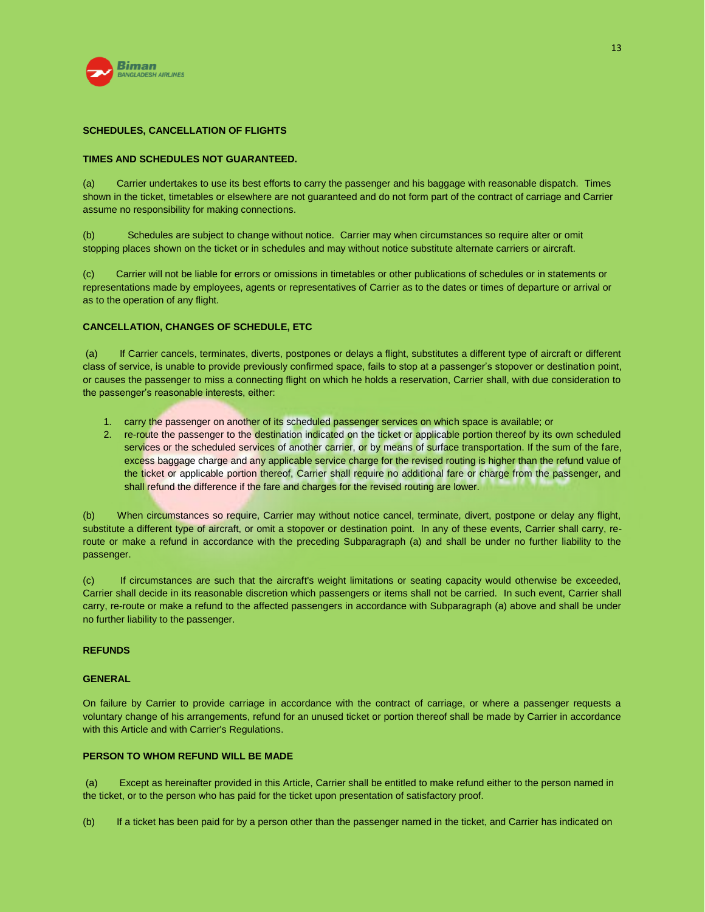

# **SCHEDULES, CANCELLATION OF FLIGHTS**

# **TIMES AND SCHEDULES NOT GUARANTEED.**

(a) Carrier undertakes to use its best efforts to carry the passenger and his baggage with reasonable dispatch. Times shown in the ticket, timetables or elsewhere are not guaranteed and do not form part of the contract of carriage and Carrier assume no responsibility for making connections.

(b) Schedules are subject to change without notice. Carrier may when circumstances so require alter or omit stopping places shown on the ticket or in schedules and may without notice substitute alternate carriers or aircraft.

(c) Carrier will not be liable for errors or omissions in timetables or other publications of schedules or in statements or representations made by employees, agents or representatives of Carrier as to the dates or times of departure or arrival or as to the operation of any flight.

### **CANCELLATION, CHANGES OF SCHEDULE, ETC**

(a) If Carrier cancels, terminates, diverts, postpones or delays a flight, substitutes a different type of aircraft or different class of service, is unable to provide previously confirmed space, fails to stop at a passenger's stopover or destination point, or causes the passenger to miss a connecting flight on which he holds a reservation, Carrier shall, with due consideration to the passenger's reasonable interests, either:

- 1. carry the passenger on another of its scheduled passenger services on which space is available; or
- 2. re-route the passenger to the destination indicated on the ticket or applicable portion thereof by its own scheduled services or the scheduled services of another carrier, or by means of surface transportation. If the sum of the fare, excess baggage charge and any applicable service charge for the revised routing is higher than the refund value of the ticket or applicable portion thereof, Carrier shall require no additional fare or charge from the passenger, and shall refund the difference if the fare and charges for the revised routing are lower.

(b) When circumstances so require, Carrier may without notice cancel, terminate, divert, postpone or delay any flight, substitute a different type of aircraft, or omit a stopover or destination point. In any of these events, Carrier shall carry, reroute or make a refund in accordance with the preceding Subparagraph (a) and shall be under no further liability to the passenger.

(c) If circumstances are such that the aircraft's weight limitations or seating capacity would otherwise be exceeded, Carrier shall decide in its reasonable discretion which passengers or items shall not be carried. In such event, Carrier shall carry, re-route or make a refund to the affected passengers in accordance with Subparagraph (a) above and shall be under no further liability to the passenger.

### **REFUNDS**

### **GENERAL**

On failure by Carrier to provide carriage in accordance with the contract of carriage, or where a passenger requests a voluntary change of his arrangements, refund for an unused ticket or portion thereof shall be made by Carrier in accordance with this Article and with Carrier's Regulations.

### **PERSON TO WHOM REFUND WILL BE MADE**

(a) Except as hereinafter provided in this Article, Carrier shall be entitled to make refund either to the person named in the ticket, or to the person who has paid for the ticket upon presentation of satisfactory proof.

(b) If a ticket has been paid for by a person other than the passenger named in the ticket, and Carrier has indicated on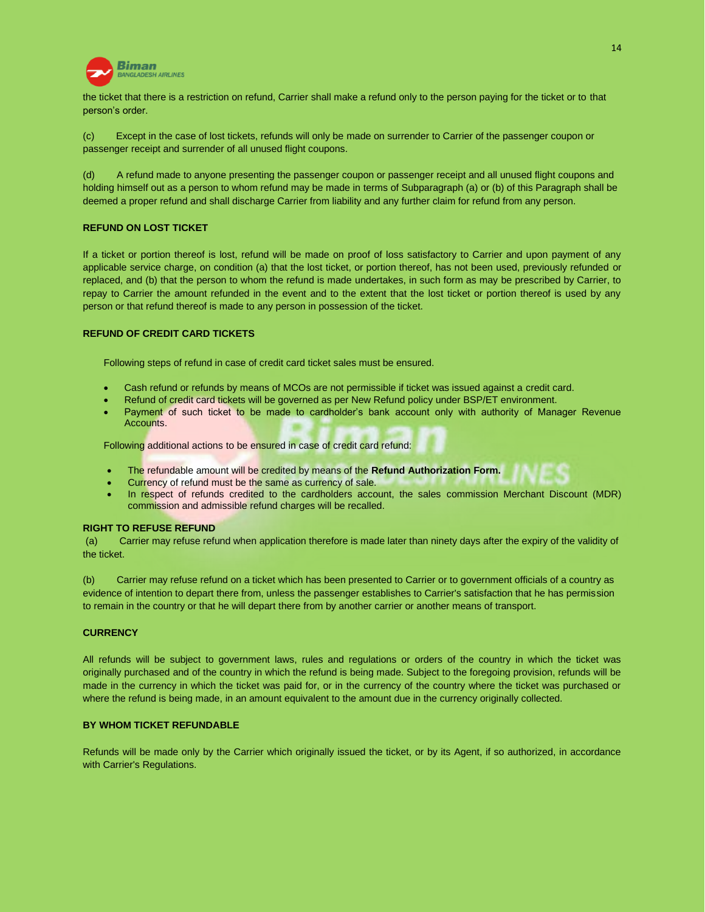

the ticket that there is a restriction on refund, Carrier shall make a refund only to the person paying for the ticket or to that person's order.

(c) Except in the case of lost tickets, refunds will only be made on surrender to Carrier of the passenger coupon or passenger receipt and surrender of all unused flight coupons.

(d) A refund made to anyone presenting the passenger coupon or passenger receipt and all unused flight coupons and holding himself out as a person to whom refund may be made in terms of Subparagraph (a) or (b) of this Paragraph shall be deemed a proper refund and shall discharge Carrier from liability and any further claim for refund from any person.

### **REFUND ON LOST TICKET**

If a ticket or portion thereof is lost, refund will be made on proof of loss satisfactory to Carrier and upon payment of any applicable service charge, on condition (a) that the lost ticket, or portion thereof, has not been used, previously refunded or replaced, and (b) that the person to whom the refund is made undertakes, in such form as may be prescribed by Carrier, to repay to Carrier the amount refunded in the event and to the extent that the lost ticket or portion thereof is used by any person or that refund thereof is made to any person in possession of the ticket.

# **REFUND OF CREDIT CARD TICKETS**

Following steps of refund in case of credit card ticket sales must be ensured.

- Cash refund or refunds by means of MCOs are not permissible if ticket was issued against a credit card.
- Refund of credit card tickets will be governed as per New Refund policy under BSP/ET environment.
- Payment of such ticket to be made to cardholder's bank account only with authority of Manager Revenue Accounts.

Following additional actions to be ensured in case of credit card refund:

- The refundable amount will be credited by means of the **Refund Authorization Form.**
- Currency of refund must be the same as currency of sale.
- In respect of refunds credited to the cardholders account, the sales commission Merchant Discount (MDR) commission and admissible refund charges will be recalled.

### **RIGHT TO REFUSE REFUND**

(a) Carrier may refuse refund when application therefore is made later than ninety days after the expiry of the validity of the ticket.

(b) Carrier may refuse refund on a ticket which has been presented to Carrier or to government officials of a country as evidence of intention to depart there from, unless the passenger establishes to Carrier's satisfaction that he has permission to remain in the country or that he will depart there from by another carrier or another means of transport.

### **CURRENCY**

All refunds will be subject to government laws, rules and regulations or orders of the country in which the ticket was originally purchased and of the country in which the refund is being made. Subject to the foregoing provision, refunds will be made in the currency in which the ticket was paid for, or in the currency of the country where the ticket was purchased or where the refund is being made, in an amount equivalent to the amount due in the currency originally collected.

### **BY WHOM TICKET REFUNDABLE**

Refunds will be made only by the Carrier which originally issued the ticket, or by its Agent, if so authorized, in accordance with Carrier's Regulations.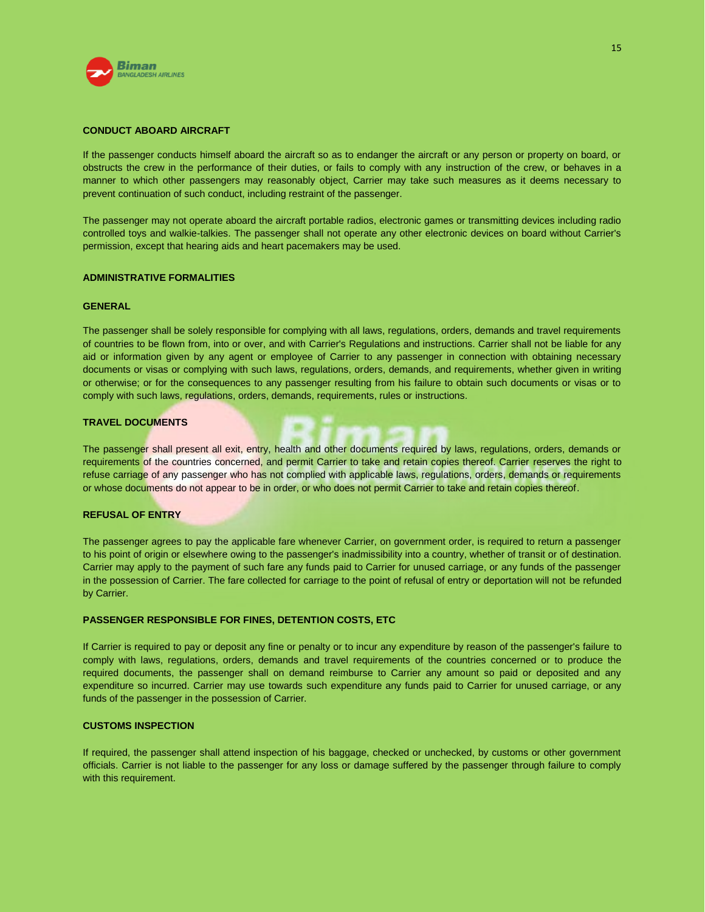

### **CONDUCT ABOARD AIRCRAFT**

If the passenger conducts himself aboard the aircraft so as to endanger the aircraft or any person or property on board, or obstructs the crew in the performance of their duties, or fails to comply with any instruction of the crew, or behaves in a manner to which other passengers may reasonably object, Carrier may take such measures as it deems necessary to prevent continuation of such conduct, including restraint of the passenger.

The passenger may not operate aboard the aircraft portable radios, electronic games or transmitting devices including radio controlled toys and walkie-talkies. The passenger shall not operate any other electronic devices on board without Carrier's permission, except that hearing aids and heart pacemakers may be used.

### **ADMINISTRATIVE FORMALITIES**

#### **GENERAL**

The passenger shall be solely responsible for complying with all laws, regulations, orders, demands and travel requirements of countries to be flown from, into or over, and with Carrier's Regulations and instructions. Carrier shall not be liable for any aid or information given by any agent or employee of Carrier to any passenger in connection with obtaining necessary documents or visas or complying with such laws, regulations, orders, demands, and requirements, whether given in writing or otherwise; or for the consequences to any passenger resulting from his failure to obtain such documents or visas or to comply with such laws, regulations, orders, demands, requirements, rules or instructions.

### **TRAVEL DOCUMENTS**

The passenger shall present all exit, entry, health and other documents required by laws, regulations, orders, demands or requirements of the countries concerned, and permit Carrier to take and retain copies thereof. Carrier reserves the right to refuse carriage of any passenger who has not complied with applicable laws, regulations, orders, demands or requirements or whose documents do not appear to be in order, or who does not permit Carrier to take and retain copies thereof.

#### **REFUSAL OF ENTRY**

The passenger agrees to pay the applicable fare whenever Carrier, on government order, is required to return a passenger to his point of origin or elsewhere owing to the passenger's inadmissibility into a country, whether of transit or of destination. Carrier may apply to the payment of such fare any funds paid to Carrier for unused carriage, or any funds of the passenger in the possession of Carrier. The fare collected for carriage to the point of refusal of entry or deportation will not be refunded by Carrier.

### **PASSENGER RESPONSIBLE FOR FINES, DETENTION COSTS, ETC**

If Carrier is required to pay or deposit any fine or penalty or to incur any expenditure by reason of the passenger's failure to comply with laws, regulations, orders, demands and travel requirements of the countries concerned or to produce the required documents, the passenger shall on demand reimburse to Carrier any amount so paid or deposited and any expenditure so incurred. Carrier may use towards such expenditure any funds paid to Carrier for unused carriage, or any funds of the passenger in the possession of Carrier.

### **CUSTOMS INSPECTION**

If required, the passenger shall attend inspection of his baggage, checked or unchecked, by customs or other government officials. Carrier is not liable to the passenger for any loss or damage suffered by the passenger through failure to comply with this requirement.